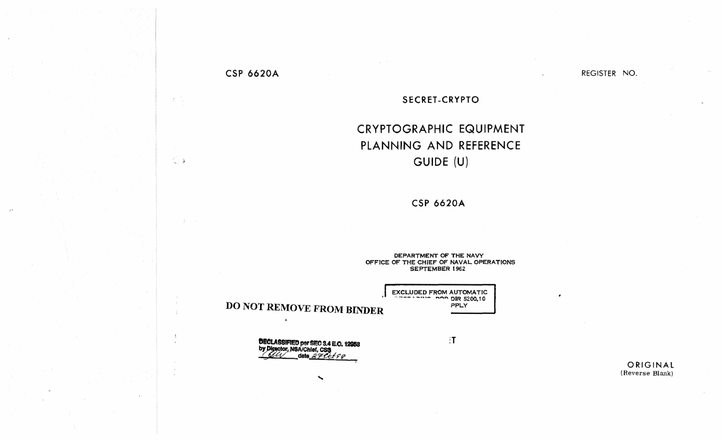## **CSP 6620A**

 $\langle f \rangle^{(N)}$ 

 $\frac{1}{4}$  .

REGISTER NO.

## SECRET-CRYPTO

## **CRYPTOGRAPHIC EQUIPMENT** PLANNING AND REFERENCE GUIDE (U)

**CSP 6620A** 

DEPARTMENT OF THE NAVY OFFICE OF THE CHIEF OF NAVAL OPERATIONS **SEPTEMBER 1962** 

> EXCLUDED FROM AUTOMATIC PPLY

> > $\ddot{a}$

**DO NOT REMOVE FROM BINDER** 

 $\Delta$ 

**DECLASSIFIED per SEC 3.4 E.O. 12958**<br>by Director, NSA/Chief, CS3<br>date 2 FCC f 8

ORIGINAL (Reverse Blank)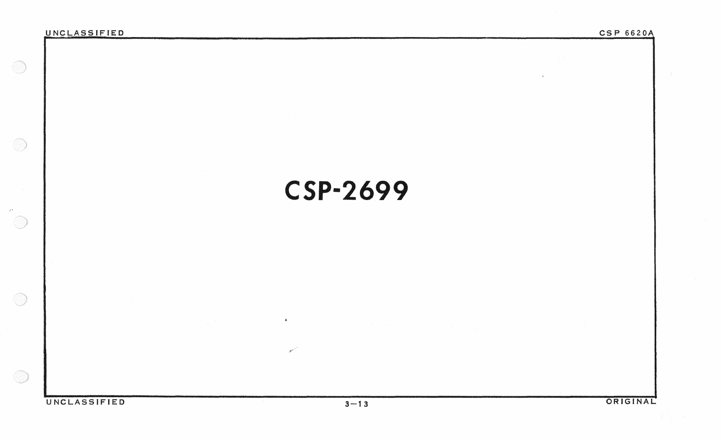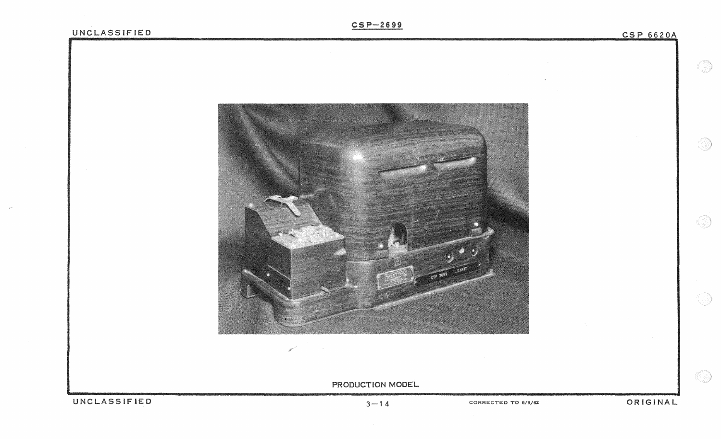$\begin{picture}(20,20) \put(0,0){\line(1,0){10}} \put(15,0){\line(1,0){10}} \put(15,0){\line(1,0){10}} \put(15,0){\line(1,0){10}} \put(15,0){\line(1,0){10}} \put(15,0){\line(1,0){10}} \put(15,0){\line(1,0){10}} \put(15,0){\line(1,0){10}} \put(15,0){\line(1,0){10}} \put(15,0){\line(1,0){10}} \put(15,0){\line(1,0){10}} \put(15,0){\line(1$ 

 $\circledS$ 

 $\circledcirc$ 

O)

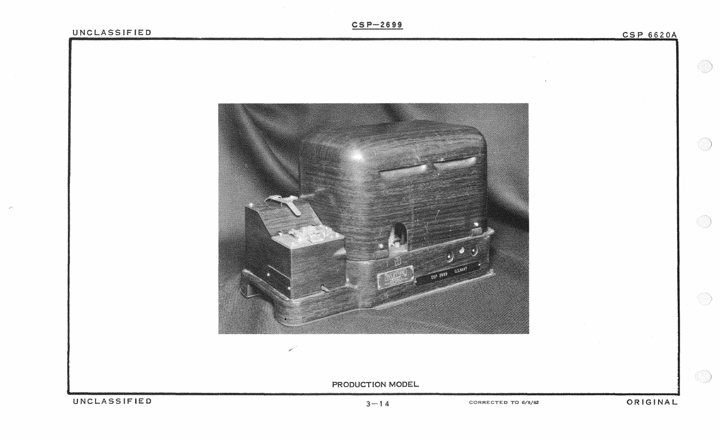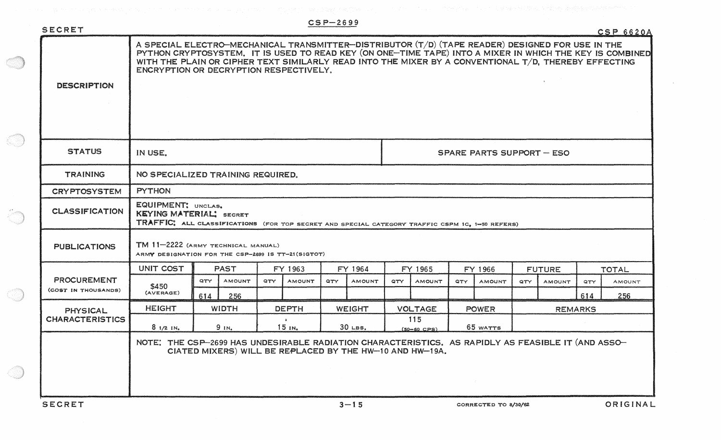| SECRET                                    |                                                                                                                                                                                                                                                                                                                                                                |                 |               |                                          |               | $CSP-2699$    |               |                        |               |                      |               |                |               |              | <b>CSP 6620A</b> |
|-------------------------------------------|----------------------------------------------------------------------------------------------------------------------------------------------------------------------------------------------------------------------------------------------------------------------------------------------------------------------------------------------------------------|-----------------|---------------|------------------------------------------|---------------|---------------|---------------|------------------------|---------------|----------------------|---------------|----------------|---------------|--------------|------------------|
| <b>DESCRIPTION</b>                        | A SPECIAL ELECTRO-MECHANICAL TRANSMITTER-DISTRIBUTOR (T/D) (TAPE READER) DESIGNED FOR USE IN THE<br>PYTHON CRYPTOSYSTEM. IT IS USED TO READ KEY (ON ONE-TIME TAPE) INTO A MIXER IN WHICH THE KEY IS COMBINED<br>WITH THE PLAIN OR CIPHER TEXT SIMILARLY READ INTO THE MIXER BY A CONVENTIONAL T/D, THEREBY EFFECTING<br>ENCRYPTION OR DECRYPTION RESPECTIVELY. |                 |               |                                          |               |               |               |                        |               |                      |               |                |               |              |                  |
| <b>STATUS</b>                             | IN USE.<br><b>SPARE PARTS SUPPORT - ESO</b>                                                                                                                                                                                                                                                                                                                    |                 |               |                                          |               |               |               |                        |               |                      |               |                |               |              |                  |
| <b>TRAINING</b>                           | NO SPECIALIZED TRAINING REQUIRED.                                                                                                                                                                                                                                                                                                                              |                 |               |                                          |               |               |               |                        |               |                      |               |                |               |              |                  |
| <b>CRYPTOSYSTEM</b>                       | <b>PYTHON</b>                                                                                                                                                                                                                                                                                                                                                  |                 |               |                                          |               |               |               |                        |               |                      |               |                |               |              |                  |
| <b>CLASSIFICATION</b>                     | EQUIPMENT! UNCLAS.<br>KEYING MATERIAL! SECRET<br>TRAFFIC: ALL CLASSIFICATIONS (FOR TOP SECRET AND SPECIAL CATEGORY TRAFFIC CSPM 1C, 1-50 REFERS)                                                                                                                                                                                                               |                 |               |                                          |               |               |               |                        |               |                      |               |                |               |              |                  |
| <b>PUBLICATIONS</b>                       | TM 11-2222 (ARMY TECHNICAL MANUAL)<br>ARMY DESIGNATION FOR THE CSP-2699 IS TT-21(SIGTOT)                                                                                                                                                                                                                                                                       |                 |               |                                          |               |               |               |                        |               |                      |               |                |               |              |                  |
| <b>PROCUREMENT</b><br>(COST IN THOUSANDS) | UNIT COST                                                                                                                                                                                                                                                                                                                                                      | <b>PAST</b>     |               | FY 1963                                  |               |               | FY 1964       | FY 1965                |               | FY 1966              |               | <b>FUTURE</b>  |               | <b>TOTAL</b> |                  |
|                                           | \$450<br>(AVERAGE)                                                                                                                                                                                                                                                                                                                                             | <b>QTY</b>      | <b>AMOUNT</b> | QTY                                      | <b>AMOUNT</b> | QTY.          | <b>AMOUNT</b> | QTY.                   | <b>AMOUNT</b> | QTY                  | <b>AMOUNT</b> | QTY            | <b>AMOUNT</b> | QTY          | <b>AMOUNT</b>    |
|                                           |                                                                                                                                                                                                                                                                                                                                                                | 614             | 256           |                                          |               |               |               |                        |               |                      |               |                |               | 614          | 256              |
| <b>PHYSICAL</b>                           | <b>HEIGHT</b>                                                                                                                                                                                                                                                                                                                                                  | <b>WIDTH</b>    |               | <b>DEPTH</b>                             |               | <b>WEIGHT</b> |               | <b>VOLTAGE</b>         |               | <b>POWER</b>         |               | <b>REMARKS</b> |               |              |                  |
| <b>CHARACTERISTICS</b>                    | 81/21N                                                                                                                                                                                                                                                                                                                                                         | 9 <sub>IN</sub> |               | $\ddot{\phantom{1}}$<br>15 <sub>IN</sub> |               | $30$ LBS.     |               | 115<br>$(50 - 60$ CPS) |               | 65 WATTS             |               |                |               |              |                  |
|                                           | NOTE: THE CSP-2699 HAS UNDESIRABLE RADIATION CHARACTERISTICS. AS RAPIDLY AS FEASIBLE IT (AND ASSO-<br>CIATED MIXERS) WILL BE REPLACED BY THE HW-10 AND HW-19A.<br>$\sim 10^{-11}$                                                                                                                                                                              |                 |               |                                          |               |               |               |                        |               |                      |               |                |               |              |                  |
| <b>SECRET</b>                             |                                                                                                                                                                                                                                                                                                                                                                |                 |               | $3 - 15$                                 |               |               |               |                        |               | CORRECTED TO 8/30/62 |               |                |               |              | ORIGINAL         |

a Sid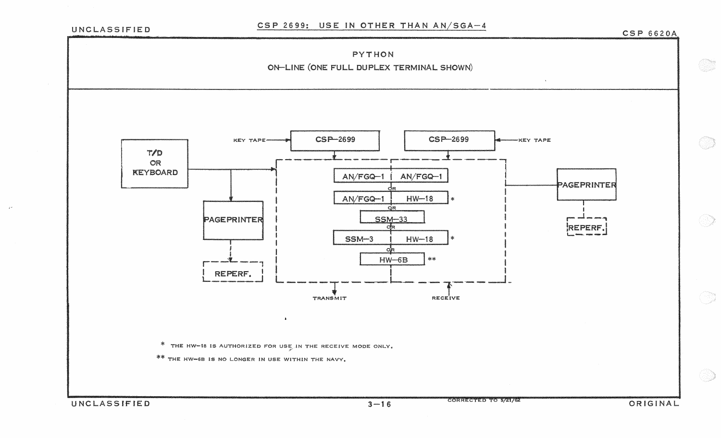